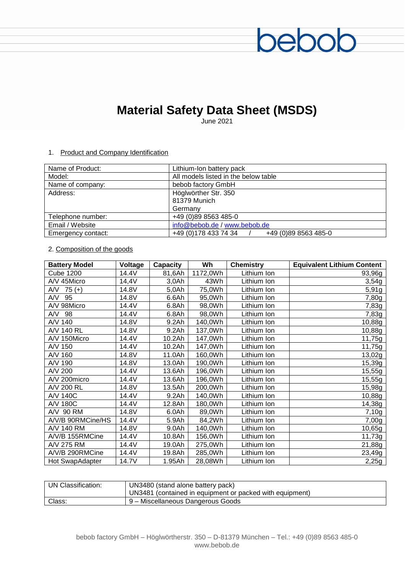# **Material Safety Data Sheet (MSDS)**

bebob

June 2021

### 1. Product and Company Identification

| Name of Product:   | Lithium-Ion battery pack                      |
|--------------------|-----------------------------------------------|
| Model:             | All models listed in the below table          |
| Name of company:   | bebob factory GmbH                            |
| Address:           | Höglwörther Str. 350                          |
|                    | 81379 Munich                                  |
|                    | Germany                                       |
| Telephone number:  | +49 (0)89 8563 485-0                          |
| Email / Website    | info@bebob.de / www.bebob.de                  |
| Emergency contact: | +49 (0) 178 433 74 34<br>+49 (0)89 8563 485-0 |

# 2. Composition of the goods

| <b>Battery Model</b> | Voltage | <b>Capacity</b> | Wh       | <b>Chemistry</b> | <b>Equivalent Lithium Content</b> |
|----------------------|---------|-----------------|----------|------------------|-----------------------------------|
| <b>Cube 1200</b>     | 14.4V   | 81,6Ah          | 1172,0Wh | Lithium Ion      | 93,96g                            |
| A/V 45Micro          | 14,4V   | $3,0$ Ah        | 43Wh     | Lithium Ion      | 3,54g                             |
| A/V<br>$75 (+)$      | 14.8V   | $5,0$ Ah        | 75,0Wh   | Lithium Ion      | 5,91g                             |
| AVV<br>95            | 14.8V   | 6.6Ah           | 95,0Wh   | Lithium Ion      | 7,80g                             |
| A/V 98Micro          | 14.4V   | 6.8Ah           | 98,0Wh   | Lithium Ion      | 7,83g                             |
| A/V 98               | 14.4V   | 6.8Ah           | 98,0Wh   | Lithium Ion      | 7,83g                             |
| A/V 140              | 14.8V   | 9.2Ah           | 140,0Wh  | Lithium Ion      | 10,88g                            |
| A/V 140 RL           | 14.8V   | 9.2Ah           | 137,0Wh  | Lithium Ion      | 10,88g                            |
| A/V 150Micro         | 14.4V   | 10.2Ah          | 147,0Wh  | Lithium Ion      | 11,75g                            |
| A/V 150              | 14.4V   | 10.2Ah          | 147,0Wh  | Lithium Ion      | 11,75g                            |
| A/V 160              | 14.8V   | 11.0Ah          | 160,0Wh  | Lithium Ion      | 13,02g                            |
| A/V 190              | 14.8V   | 13.0Ah          | 190,0Wh  | Lithium Ion      | 15,39g                            |
| A/V 200              | 14.4V   | 13.6Ah          | 196,0Wh  | Lithium Ion      | 15,55g                            |
| A/V 200micro         | 14.4V   | 13.6Ah          | 196,0Wh  | Lithium Ion      | 15,55g                            |
| A/V 200 RL           | 14.8V   | 13.5Ah          | 200,0Wh  | Lithium Ion      | 15,98g                            |
| A/V 140C             | 14.4V   | 9.2Ah           | 140,0Wh  | Lithium Ion      | 10,88g                            |
| A/V 180C             | 14.4V   | 12.8Ah          | 180,0Wh  | Lithium Ion      | 14,38g                            |
| A/V 90 RM            | 14.8V   | 6.0Ah           | 89,0Wh   | Lithium Ion      | 7,10g                             |
| A/V/B 90RMCine/HS    | 14.4V   | 5.9Ah           | 84,2Wh   | Lithium Ion      | 7,00g                             |
| A/V 140 RM           | 14.8V   | 9.0Ah           | 140,0Wh  | Lithium Ion      | 10,65g                            |
| A/V/B 155RMCine      | 14.4V   | 10.8Ah          | 156,0Wh  | Lithium Ion      | 11,73g                            |
| A/V 275 RM           | 14.4V   | 19.0Ah          | 275,0Wh  | Lithium Ion      | 21,88g                            |
| A/V/B 290RMCine      | 14.4V   | 19.8Ah          | 285,0Wh  | Lithium Ion      | 23,49g                            |
| Hot SwapAdapter      | 14.7V   | 1.95Ah          | 28,08Wh  | Lithium Ion      | 2,25g                             |

| UN Classification: | UN3480 (stand alone battery pack)                        |
|--------------------|----------------------------------------------------------|
|                    | UN3481 (contained in equipment or packed with equipment) |
| Class:             | 9 - Miscellaneous Dangerous Goods                        |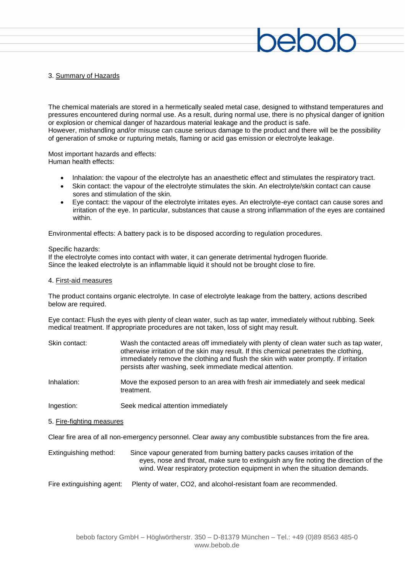# 3. Summary of Hazards

The chemical materials are stored in a hermetically sealed metal case, designed to withstand temperatures and pressures encountered during normal use. As a result, during normal use, there is no physical danger of ignition or explosion or chemical danger of hazardous material leakage and the product is safe. However, mishandling and/or misuse can cause serious damage to the product and there will be the possibility of generation of smoke or rupturing metals, flaming or acid gas emission or electrolyte leakage.

Most important hazards and effects: Human health effects:

- Inhalation: the vapour of the electrolyte has an anaesthetic effect and stimulates the respiratory tract.
- Skin contact: the vapour of the electrolyte stimulates the skin. An electrolyte/skin contact can cause sores and stimulation of the skin.
- Eye contact: the vapour of the electrolyte irritates eyes. An electrolyte-eye contact can cause sores and irritation of the eye. In particular, substances that cause a strong inflammation of the eyes are contained within.

Environmental effects: A battery pack is to be disposed according to regulation procedures.

Specific hazards:

If the electrolyte comes into contact with water, it can generate detrimental hydrogen fluoride. Since the leaked electrolyte is an inflammable liquid it should not be brought close to fire.

#### 4. First-aid measures

The product contains organic electrolyte. In case of electrolyte leakage from the battery, actions described below are required.

Eye contact: Flush the eyes with plenty of clean water, such as tap water, immediately without rubbing. Seek medical treatment. If appropriate procedures are not taken, loss of sight may result.

| Skin contact: | Wash the contacted areas off immediately with plenty of clean water such as tap water,<br>otherwise irritation of the skin may result. If this chemical penetrates the clothing,<br>immediately remove the clothing and flush the skin with water promptly. If irritation<br>persists after washing, seek immediate medical attention. |
|---------------|----------------------------------------------------------------------------------------------------------------------------------------------------------------------------------------------------------------------------------------------------------------------------------------------------------------------------------------|
| Inhalation:   | Move the exposed person to an area with fresh air immediately and seek medical                                                                                                                                                                                                                                                         |

treatment.

Ingestion: Seek medical attention immediately

5. Fire-fighting measures

Clear fire area of all non-emergency personnel. Clear away any combustible substances from the fire area.

| Extinguishing method: | Since vapour generated from burning battery packs causes irritation of the          |
|-----------------------|-------------------------------------------------------------------------------------|
|                       | eyes, nose and throat, make sure to extinguish any fire noting the direction of the |
|                       | wind. Wear respiratory protection equipment in when the situation demands.          |

Fire extinguishing agent: Plenty of water, CO2, and alcohol-resistant foam are recommended.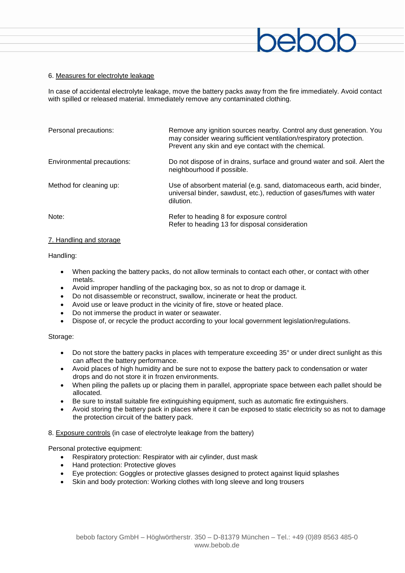### 6. Measures for electrolyte leakage

In case of accidental electrolyte leakage, move the battery packs away from the fire immediately. Avoid contact with spilled or released material. Immediately remove any contaminated clothing.

| Personal precautions:      | Remove any ignition sources nearby. Control any dust generation. You<br>may consider wearing sufficient ventilation/respiratory protection.<br>Prevent any skin and eye contact with the chemical. |
|----------------------------|----------------------------------------------------------------------------------------------------------------------------------------------------------------------------------------------------|
| Environmental precautions: | Do not dispose of in drains, surface and ground water and soil. Alert the<br>neighbourhood if possible.                                                                                            |
| Method for cleaning up:    | Use of absorbent material (e.g. sand, diatomaceous earth, acid binder,<br>universal binder, sawdust, etc.), reduction of gases/fumes with water<br>dilution.                                       |
| Note:                      | Refer to heading 8 for exposure control<br>Refer to heading 13 for disposal consideration                                                                                                          |

# 7. Handling and storage

#### Handling:

- When packing the battery packs, do not allow terminals to contact each other, or contact with other metals.
- Avoid improper handling of the packaging box, so as not to drop or damage it.
- Do not disassemble or reconstruct, swallow, incinerate or heat the product.
- Avoid use or leave product in the vicinity of fire, stove or heated place.
- Do not immerse the product in water or seawater.
- Dispose of, or recycle the product according to your local government legislation/regulations.

#### Storage:

- Do not store the battery packs in places with temperature exceeding 35° or under direct sunlight as this can affect the battery performance.
- Avoid places of high humidity and be sure not to expose the battery pack to condensation or water drops and do not store it in frozen environments.
- When piling the pallets up or placing them in parallel, appropriate space between each pallet should be allocated.
- Be sure to install suitable fire extinguishing equipment, such as automatic fire extinguishers.
- Avoid storing the battery pack in places where it can be exposed to static electricity so as not to damage the protection circuit of the battery pack.

#### 8. Exposure controls (in case of electrolyte leakage from the battery)

Personal protective equipment:

- Respiratory protection: Respirator with air cylinder, dust mask
- Hand protection: Protective gloves
- Eye protection: Goggles or protective glasses designed to protect against liquid splashes
- Skin and body protection: Working clothes with long sleeve and long trousers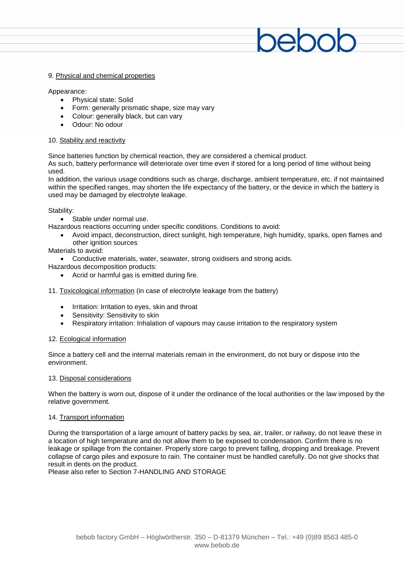#### 9. Physical and chemical properties

#### Appearance:

- Physical state: Solid
- Form: generally prismatic shape, size may vary
- Colour: generally black, but can vary
- Odour: No odour

### 10. Stability and reactivity

Since batteries function by chemical reaction, they are considered a chemical product.

As such, battery performance will deteriorate over time even if stored for a long period of time without being used.

In addition, the various usage conditions such as charge, discharge, ambient temperature, etc. if not maintained within the specified ranges, may shorten the life expectancy of the battery, or the device in which the battery is used may be damaged by electrolyte leakage.

### Stability:

Stable under normal use.

Hazardous reactions occurring under specific conditions. Conditions to avoid:

 Avoid impact, deconstruction, direct sunlight, high temperature, high humidity, sparks, open flames and other ignition sources

# Materials to avoid:

Conductive materials, water, seawater, strong oxidisers and strong acids.

Hazardous decomposition products:

Acrid or harmful gas is emitted during fire.

11. Toxicological information (in case of electrolyte leakage from the battery)

- Irritation: Irritation to eyes, skin and throat
- Sensitivity: Sensitivity to skin
- Respiratory irritation: Inhalation of vapours may cause irritation to the respiratory system

# 12. Ecological information

Since a battery cell and the internal materials remain in the environment, do not bury or dispose into the environment.

#### 13. Disposal considerations

When the battery is worn out, dispose of it under the ordinance of the local authorities or the law imposed by the relative government.

#### 14. Transport information

During the transportation of a large amount of battery packs by sea, air, trailer, or railway, do not leave these in a location of high temperature and do not allow them to be exposed to condensation. Confirm there is no leakage or spillage from the container. Properly store cargo to prevent falling, dropping and breakage. Prevent collapse of cargo piles and exposure to rain. The container must be handled carefully. Do not give shocks that result in dents on the product.

Please also refer to Section 7-HANDLING AND STORAGE